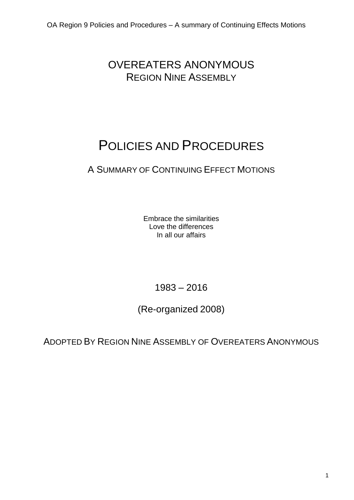OVEREATERS ANONYMOUS REGION NINE ASSEMBLY

# POLICIES AND PROCEDURES

## A SUMMARY OF CONTINUING EFFECT MOTIONS

Embrace the similarities Love the differences In all our affairs

1983 – 2016

(Re-organized 2008)

ADOPTED BY REGION NINE ASSEMBLY OF OVEREATERS ANONYMOUS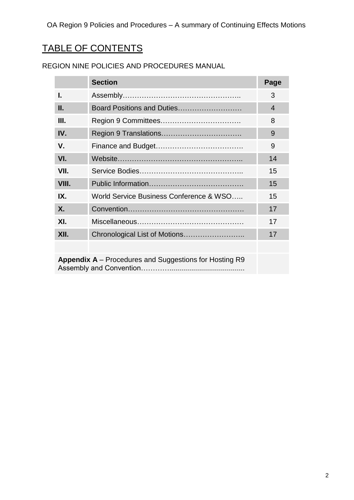## TABLE OF CONTENTS

|                                                               | <b>Section</b>                          | Page |
|---------------------------------------------------------------|-----------------------------------------|------|
| I.                                                            |                                         | 3    |
| Ш.                                                            | Board Positions and Duties              | 4    |
| Ш.                                                            |                                         | 8    |
| IV.                                                           |                                         | 9    |
| V.                                                            |                                         | 9    |
| VI.                                                           |                                         | 14   |
| VII.                                                          |                                         | 15   |
| VIII.                                                         |                                         | 15   |
| IX.                                                           | World Service Business Conference & WSO | 15   |
| X.                                                            |                                         | 17   |
| XI.                                                           |                                         | 17   |
| XII.                                                          |                                         | 17   |
|                                                               |                                         |      |
| <b>Appendix A</b> – Procedures and Suggestions for Hosting R9 |                                         |      |

## REGION NINE POLICIES AND PROCEDURES MANUAL

Assembly and Convention…………......................................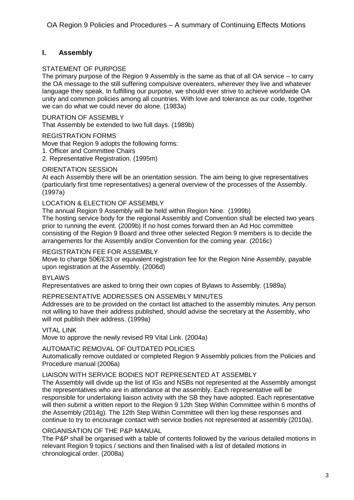## **I. Assembly**

#### STATEMENT OF PURPOSE

The primary purpose of the Region 9 Assembly is the same as that of all OA service – to carry the OA message to the still suffering compulsive overeaters, wherever they live and whatever language they speak. In fulfilling our purpose, we should ever strive to achieve worldwide OA unity and common policies among all countries. With love and tolerance as our code, together we can do what we could never do alone. (1983a)

DURATION OF ASSEMBLY

That Assembly be extended to two full days. (1989b)

#### REGISTRATION FORMS

Move that Region 9 adopts the following forms:

- 1. Officer and Committee Chairs
- 2. Representative Registration. (1995m)

#### ORIENTATION SESSION

At each Assembly there will be an orientation session. The aim being to give representatives (particularly first time representatives) a general overview of the processes of the Assembly. (1997a)

#### LOCATION & ELECTION OF ASSEMBLY

The annual Region 9 Assembly will be held within Region Nine. (1999b)

The hosting service body for the regional Assembly and Convention shall be elected two years prior to running the event. (2009b) If no host comes forward then an Ad Hoc committee consisting of the Region 9 Board and three other selected Region 9 members is to decide the arrangements for the Assembly and/or Convention for the coming year. (2016c)

#### REGISTRATION FEE FOR ASSEMBLY

Move to charge 50€/£33 or equivalent registration fee for the Region Nine Assembly, payable upon registration at the Assembly. (2006d)

#### BYLAWS

Representatives are asked to bring their own copies of Bylaws to Assembly. (1989a)

#### REPRESENTATIVE ADDRESSES ON ASSEMBLY MINUTES

Addresses are to be provided on the contact list attached to the assembly minutes. Any person not willing to have their address published, should advise the secretary at the Assembly, who will not publish their address. (1999a)

#### **VITAL LINK**

Move to approve the newly revised R9 Vital Link. (2004a)

#### AUTOMATIC REMOVAL OF OUTDATED POLICIES

Automatically remove outdated or completed Region 9 Assembly policies from the Policies and Procedure manual (2006a)

#### LIAISON WITH SERVICE BODIES NOT REPRESENTED AT ASSEMBLY

The Assembly will divide up the list of IGs and NSBs not represented at the Assembly amongst the representatives who are in attendance at the assembly. Each representative will be responsible for undertaking liaison activity with the SB they have adopted. Each representative will then submit a written report to the Region 9 12th Step Within Committee within 6 months of the Assembly (2014g). The 12th Step Within Committee will then log these responses and continue to try to encourage contact with service bodies not represented at assembly (2010a).

#### ORGANISATION OF THE P&P MANUAL

The P&P shall be organised with a table of contents followed by the various detailed motions in relevant Region 9 topics / sections and then finalised with a list of detailed motions in chronological order. (2008a)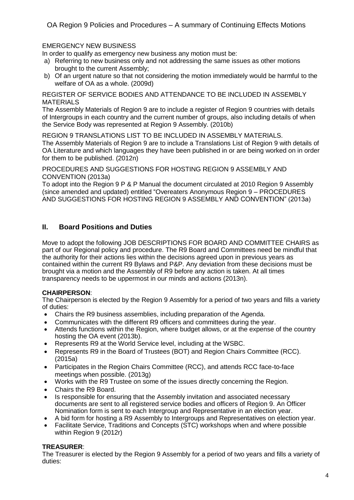## EMERGENCY NEW BUSINESS

In order to qualify as emergency new business any motion must be:

- a) Referring to new business only and not addressing the same issues as other motions brought to the current Assembly;
- b) Of an urgent nature so that not considering the motion immediately would be harmful to the welfare of OA as a whole. (2009d)

REGISTER OF SERVICE BODIES AND ATTENDANCE TO BE INCLUDED IN ASSEMBLY **MATERIALS** 

The Assembly Materials of Region 9 are to include a register of Region 9 countries with details of Intergroups in each country and the current number of groups, also including details of when the Service Body was represented at Region 9 Assembly. (2010b)

REGION 9 TRANSLATIONS LIST TO BE INCLUDED IN ASSEMBLY MATERIALS.

The Assembly Materials of Region 9 are to include a Translations List of Region 9 with details of OA Literature and which languages they have been published in or are being worked on in order for them to be published. (2012n)

PROCEDURES AND SUGGESTIONS FOR HOSTING REGION 9 ASSEMBLY AND CONVENTION (2013a)

To adopt into the Region 9 P & P Manual the document circulated at 2010 Region 9 Assembly (since amended and updated) entitled "Overeaters Anonymous Region 9 – PROCEDURES AND SUGGESTIONS FOR HOSTING REGION 9 ASSEMBLY AND CONVENTION" (2013a)

## **II. Board Positions and Duties**

Move to adopt the following JOB DESCRIPTIONS FOR BOARD AND COMMITTEE CHAIRS as part of our Regional policy and procedure. The R9 Board and Committees need be mindful that the authority for their actions lies within the decisions agreed upon in previous years as contained within the current R9 Bylaws and P&P. Any deviation from these decisions must be brought via a motion and the Assembly of R9 before any action is taken. At all times transparency needs to be uppermost in our minds and actions (2013n).

## **CHAIRPERSON**:

The Chairperson is elected by the Region 9 Assembly for a period of two years and fills a variety of duties:

- Chairs the R9 business assemblies, including preparation of the Agenda.
- Communicates with the different R9 officers and committees during the year.
- Attends functions within the Region, where budget allows, or at the expense of the country hosting the OA event (2013b).
- Represents R9 at the World Service level, including at the WSBC.
- Represents R9 in the Board of Trustees (BOT) and Region Chairs Committee (RCC). (2015a)
- Participates in the Region Chairs Committee (RCC), and attends RCC face-to-face meetings when possible. (2013g)
- Works with the R9 Trustee on some of the issues directly concerning the Region.
- Chairs the R9 Board.
- Is responsible for ensuring that the Assembly invitation and associated necessary documents are sent to all registered service bodies and officers of Region 9. An Officer Nomination form is sent to each Intergroup and Representative in an election year.
- A bid form for hosting a R9 Assembly to Intergroups and Representatives on election year.
- Facilitate Service, Traditions and Concepts (STC) workshops when and where possible within Region 9 (2012r)

#### **TREASURER**:

The Treasurer is elected by the Region 9 Assembly for a period of two years and fills a variety of duties: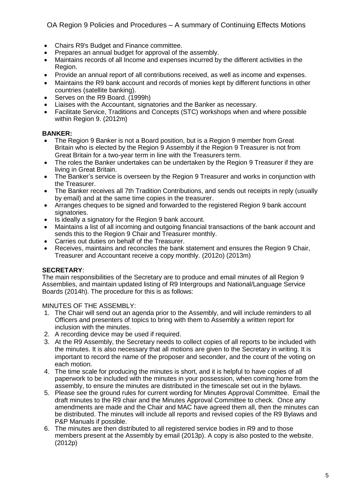OA Region 9 Policies and Procedures – A summary of Continuing Effects Motions

- Chairs R9's Budget and Finance committee.
- Prepares an annual budget for approval of the assembly.
- Maintains records of all Income and expenses incurred by the different activities in the Region.
- Provide an annual report of all contributions received, as well as income and expenses.
- Maintains the R9 bank account and records of monies kept by different functions in other countries (satellite banking).
- Serves on the R9 Board. (1999h)
- Liaises with the Accountant, signatories and the Banker as necessary.
- Facilitate Service, Traditions and Concepts (STC) workshops when and where possible within Region 9. (2012m)

#### **BANKER:**

- The Region 9 Banker is not a Board position, but is a Region 9 member from Great Britain who is elected by the Region 9 Assembly if the Region 9 Treasurer is not from Great Britain for a two-year term in line with the Treasurers term.
- The roles the Banker undertakes can be undertaken by the Region 9 Treasurer if they are living in Great Britain.
- The Banker's service is overseen by the Region 9 Treasurer and works in conjunction with the Treasurer.
- The Banker receives all 7th Tradition Contributions, and sends out receipts in reply (usually by email) and at the same time copies in the treasurer.
- Arranges cheques to be signed and forwarded to the registered Region 9 bank account signatories.
- Is ideally a signatory for the Region 9 bank account.
- Maintains a list of all incoming and outgoing financial transactions of the bank account and sends this to the Region 9 Chair and Treasurer monthly.
- Carries out duties on behalf of the Treasurer.
- Receives, maintains and reconciles the bank statement and ensures the Region 9 Chair, Treasurer and Accountant receive a copy monthly. (2012o) (2013m)

## **SECRETARY**:

The main responsibilities of the Secretary are to produce and email minutes of all Region 9 Assemblies, and maintain updated listing of R9 Intergroups and National/Language Service Boards (2014h). The procedure for this is as follows:

MINUTES OF THE ASSEMBLY:

- 1. The Chair will send out an agenda prior to the Assembly, and will include reminders to all Officers and presenters of topics to bring with them to Assembly a written report for inclusion with the minutes.
- 2. A recording device may be used if required.
- 3. At the R9 Assembly, the Secretary needs to collect copies of all reports to be included with the minutes. It is also necessary that all motions are given to the Secretary in writing. It is important to record the name of the proposer and seconder, and the count of the voting on each motion.
- 4. The time scale for producing the minutes is short, and it is helpful to have copies of all paperwork to be included with the minutes in your possession, when coming home from the assembly, to ensure the minutes are distributed in the timescale set out in the bylaws.
- 5. Please see the ground rules for current wording for Minutes Approval Committee. Email the draft minutes to the R9 chair and the Minutes Approval Committee to check. Once any amendments are made and the Chair and MAC have agreed them all, then the minutes can be distributed. The minutes will include all reports and revised copies of the R9 Bylaws and P&P Manuals if possible.
- 6. The minutes are then distributed to all registered service bodies in R9 and to those members present at the Assembly by email (2013p). A copy is also posted to the website. (2012p)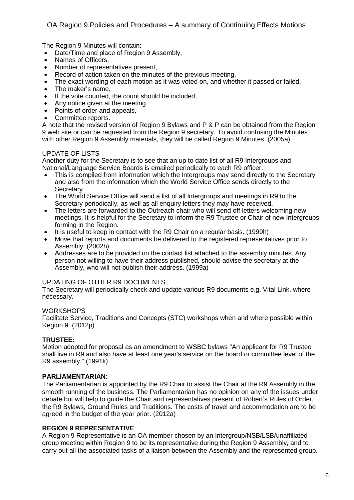The Region 9 Minutes will contain:

- Date/Time and place of Region 9 Assembly,
- Names of Officers,
- Number of representatives present,
- Record of action taken on the minutes of the previous meeting,
- The exact wording of each motion as it was voted on, and whether it passed or failed,
- The maker's name,
- If the vote counted, the count should be included,
- Any notice given at the meeting.
- Points of order and appeals,
- Committee reports.

A note that the revised version of Region 9 Bylaws and P & P can be obtained from the Region 9 web site or can be requested from the Region 9 secretary. To avoid confusing the Minutes with other Region 9 Assembly materials, they will be called Region 9 Minutes. (2005a)

#### UPDATE OF LISTS

Another duty for the Secretary is to see that an up to date list of all R9 Intergroups and National/Language Service Boards is emailed periodically to each R9 officer.

- This is compiled from information which the Intergroups may send directly to the Secretary and also from the information which the World Service Office sends directly to the Secretary.
- The World Service Office will send a list of all Intergroups and meetings in R9 to the Secretary periodically, as well as all enquiry letters they may have received.
- The letters are forwarded to the Outreach chair who will send off letters welcoming new meetings. It is helpful for the Secretary to inform the R9 Trustee or Chair of new Intergroups forming in the Region.
- It is useful to keep in contact with the R9 Chair on a regular basis. (1999h)
- Move that reports and documents be delivered to the registered representatives prior to Assembly. (2002h)
- Addresses are to be provided on the contact list attached to the assembly minutes. Any person not willing to have their address published, should advise the secretary at the Assembly, who will not publish their address. (1999a)

## UPDATING OF OTHER R9 DOCUMENTS

The Secretary will periodically check and update various R9 documents e.g. Vital Link, where necessary.

## **WORKSHOPS**

Facilitate Service, Traditions and Concepts (STC) workshops when and where possible within Region 9. (2012p)

## **TRUSTEE:**

Motion adopted for proposal as an amendment to WSBC bylaws "An applicant for R9 Trustee shall live in R9 and also have at least one year's service on the board or committee level of the R9 assembly." (1991k)

## **PARLIAMENTARIAN**:

The Parliamentarian is appointed by the R9 Chair to assist the Chair at the R9 Assembly in the smooth running of the business. The Parliamentarian has no opinion on any of the issues under debate but will help to guide the Chair and representatives present of Robert's Rules of Order, the R9 Bylaws, Ground Rules and Traditions. The costs of travel and accommodation are to be agreed in the budget of the year prior. (2012a)

#### **REGION 9 REPRESENTATIVE**:

A Region 9 Representative is an OA member chosen by an Intergroup/NSB/LSB/unaffiliated group meeting within Region 9 to be its representative during the Region 9 Assembly, and to carry out all the associated tasks of a liaison between the Assembly and the represented group.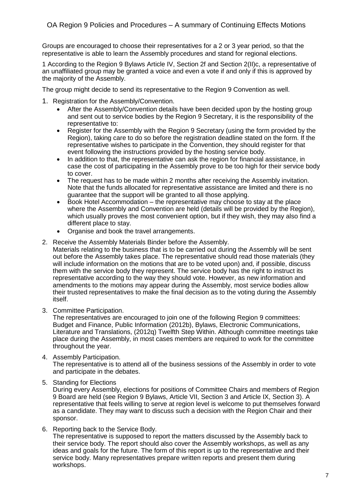Groups are encouraged to choose their representatives for a 2 or 3 year period, so that the representative is able to learn the Assembly procedures and stand for regional elections.

1 According to the Region 9 Bylaws Article IV, Section 2f and Section 2(II)c, a representative of an unaffiliated group may be granted a voice and even a vote if and only if this is approved by the majority of the Assembly.

The group might decide to send its representative to the Region 9 Convention as well.

- 1. Registration for the Assembly/Convention.
	- After the Assembly/Convention details have been decided upon by the hosting group and sent out to service bodies by the Region 9 Secretary, it is the responsibility of the representative to:
	- Register for the Assembly with the Region 9 Secretary (using the form provided by the Region), taking care to do so before the registration deadline stated on the form. If the representative wishes to participate in the Convention, they should register for that event following the instructions provided by the hosting service body.
	- In addition to that, the representative can ask the region for financial assistance, in case the cost of participating in the Assembly prove to be too high for their service body to cover.
	- The request has to be made within 2 months after receiving the Assembly invitation. Note that the funds allocated for representative assistance are limited and there is no guarantee that the support will be granted to all those applying.
	- Book Hotel Accommodation the representative may choose to stay at the place where the Assembly and Convention are held (details will be provided by the Region), which usually proves the most convenient option, but if they wish, they may also find a different place to stay.
	- Organise and book the travel arrangements.
- 2. Receive the Assembly Materials Binder before the Assembly.

Materials relating to the business that is to be carried out during the Assembly will be sent out before the Assembly takes place. The representative should read those materials (they will include information on the motions that are to be voted upon) and, if possible, discuss them with the service body they represent. The service body has the right to instruct its representative according to the way they should vote. However, as new information and amendments to the motions may appear during the Assembly, most service bodies allow their trusted representatives to make the final decision as to the voting during the Assembly itself.

3. Committee Participation.

The representatives are encouraged to join one of the following Region 9 committees: Budget and Finance, Public Information (2012b), Bylaws, Electronic Communications, Literature and Translations, (2012q) Twelfth Step Within. Although committee meetings take place during the Assembly, in most cases members are required to work for the committee throughout the year.

4. Assembly Participation.

The representative is to attend all of the business sessions of the Assembly in order to vote and participate in the debates.

5. Standing for Elections

During every Assembly, elections for positions of Committee Chairs and members of Region 9 Board are held (see Region 9 Bylaws, Article VII, Section 3 and Article IX, Section 3). A representative that feels willing to serve at region level is welcome to put themselves forward as a candidate. They may want to discuss such a decision with the Region Chair and their sponsor.

6. Reporting back to the Service Body.

The representative is supposed to report the matters discussed by the Assembly back to their service body. The report should also cover the Assembly workshops, as well as any ideas and goals for the future. The form of this report is up to the representative and their service body. Many representatives prepare written reports and present them during workshops.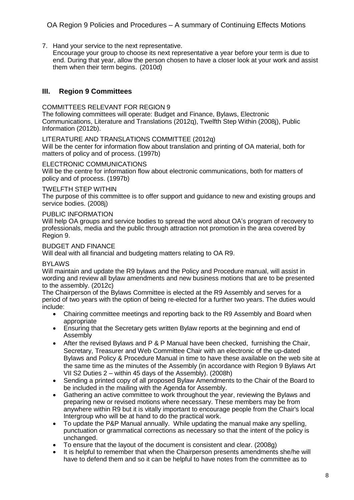7. Hand your service to the next representative.

Encourage your group to choose its next representative a year before your term is due to end. During that year, allow the person chosen to have a closer look at your work and assist them when their term begins. (2010d)

## **III. Region 9 Committees**

#### COMMITTEES RELEVANT FOR REGION 9

The following committees will operate: Budget and Finance, Bylaws, Electronic Communications, Literature and Translations (2012q), Twelfth Step Within (2008j), Public Information (2012b).

LITERATURE AND TRANSLATIONS COMMITTEE (2012q)

Will be the center for information flow about translation and printing of OA material, both for matters of policy and of process. (1997b)

#### ELECTRONIC COMMUNICATIONS

Will be the centre for information flow about electronic communications, both for matters of policy and of process. (1997b)

#### TWELFTH STEP WITHIN

The purpose of this committee is to offer support and guidance to new and existing groups and service bodies. (2008j)

#### PUBLIC INFORMATION

Will help OA groups and service bodies to spread the word about OA's program of recovery to professionals, media and the public through attraction not promotion in the area covered by Region 9.

#### BUDGET AND FINANCE

Will deal with all financial and budgeting matters relating to OA R9.

#### BYLAWS

Will maintain and update the R9 bylaws and the Policy and Procedure manual, will assist in wording and review all bylaw amendments and new business motions that are to be presented to the assembly. (2012c)

The Chairperson of the Bylaws Committee is elected at the R9 Assembly and serves for a period of two years with the option of being re-elected for a further two years. The duties would include:

- Chairing committee meetings and reporting back to the R9 Assembly and Board when appropriate
- Ensuring that the Secretary gets written Bylaw reports at the beginning and end of Assembly
- After the revised Bylaws and P & P Manual have been checked, furnishing the Chair, Secretary, Treasurer and Web Committee Chair with an electronic of the up-dated Bylaws and Policy & Procedure Manual in time to have these available on the web site at the same time as the minutes of the Assembly (in accordance with Region 9 Bylaws Art VII S2 Duties 2 – within 45 days of the Assembly). (2008h)
- Sending a printed copy of all proposed Bylaw Amendments to the Chair of the Board to be included in the mailing with the Agenda for Assembly.
- Gathering an active committee to work throughout the year, reviewing the Bylaws and preparing new or revised motions where necessary. These members may be from anywhere within R9 but it is vitally important to encourage people from the Chair's local Intergroup who will be at hand to do the practical work.
- To update the P&P Manual annually. While updating the manual make any spelling, punctuation or grammatical corrections as necessary so that the intent of the policy is unchanged.
- To ensure that the layout of the document is consistent and clear. (2008g)
- It is helpful to remember that when the Chairperson presents amendments she/he will have to defend them and so it can be helpful to have notes from the committee as to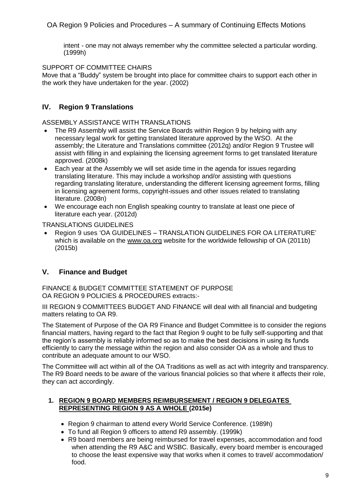intent - one may not always remember why the committee selected a particular wording. (1999h)

SUPPORT OF COMMITTEE CHAIRS

Move that a "Buddy" system be brought into place for committee chairs to support each other in the work they have undertaken for the year. (2002)

## **IV. Region 9 Translations**

ASSEMBLY ASSISTANCE WITH TRANSLATIONS

- The R9 Assembly will assist the Service Boards within Region 9 by helping with any necessary legal work for getting translated literature approved by the WSO. At the assembly; the Literature and Translations committee (2012q) and/or Region 9 Trustee will assist with filling in and explaining the licensing agreement forms to get translated literature approved. (2008k)
- Each year at the Assembly we will set aside time in the agenda for issues regarding translating literature. This may include a workshop and/or assisting with questions regarding translating literature, understanding the different licensing agreement forms, filling in licensing agreement forms, copyright-issues and other issues related to translating literature. (2008n)
- We encourage each non English speaking country to translate at least one piece of literature each year. (2012d)

TRANSLATIONS GUIDELINES

 Region 9 uses 'OA GUIDELINES – TRANSLATION GUIDELINES FOR OA LITERATURE' which is available on the [www.oa.org](http://www.oa.org/) website for the worldwide fellowship of OA (2011b) (2015b)

## **V. Finance and Budget**

FINANCE & BUDGET COMMITTEE STATEMENT OF PURPOSE OA REGION 9 POLICIES & PROCEDURES extracts:-

III REGION 9 COMMITTEES BUDGET AND FINANCE will deal with all financial and budgeting matters relating to OA R9.

The Statement of Purpose of the OA R9 Finance and Budget Committee is to consider the regions financial matters, having regard to the fact that Region 9 ought to be fully self-supporting and that the region's assembly is reliably informed so as to make the best decisions in using its funds efficiently to carry the message within the region and also consider OA as a whole and thus to contribute an adequate amount to our WSO.

The Committee will act within all of the OA Traditions as well as act with integrity and transparency. The R9 Board needs to be aware of the various financial policies so that where it affects their role, they can act accordingly.

#### **1. REGION 9 BOARD MEMBERS REIMBURSEMENT / REGION 9 DELEGATES REPRESENTING REGION 9 AS A WHOLE (2015e)**

- Region 9 chairman to attend every World Service Conference. (1989h)
- To fund all Region 9 officers to attend R9 assembly. (1999k)
- R9 board members are being reimbursed for travel expenses, accommodation and food when attending the R9 A&C and WSBC. Basically, every board member is encouraged to choose the least expensive way that works when it comes to travel/ accommodation/ food.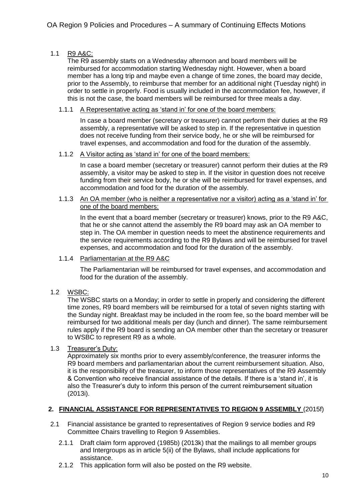## 1.1 R9 A&C:

The R9 assembly starts on a Wednesday afternoon and board members will be reimbursed for accommodation starting Wednesday night. However, when a board member has a long trip and maybe even a change of time zones, the board may decide, prior to the Assembly, to reimburse that member for an additional night (Tuesday night) in order to settle in properly. Food is usually included in the accommodation fee, however, if this is not the case, the board members will be reimbursed for three meals a day.

#### 1.1.1 A Representative acting as 'stand in' for one of the board members:

In case a board member (secretary or treasurer) cannot perform their duties at the R9 assembly, a representative will be asked to step in. If the representative in question does not receive funding from their service body, he or she will be reimbursed for travel expenses, and accommodation and food for the duration of the assembly.

#### 1.1.2 A Visitor acting as 'stand in' for one of the board members:

In case a board member (secretary or treasurer) cannot perform their duties at the R9 assembly, a visitor may be asked to step in. If the visitor in question does not receive funding from their service body, he or she will be reimbursed for travel expenses, and accommodation and food for the duration of the assembly.

#### 1.1.3 An OA member (who is neither a representative nor a visitor) acting as a 'stand in' for one of the board members:

In the event that a board member (secretary or treasurer) knows, prior to the R9 A&C, that he or she cannot attend the assembly the R9 board may ask an OA member to step in. The OA member in question needs to meet the abstinence requirements and the service requirements according to the R9 Bylaws and will be reimbursed for travel expenses, and accommodation and food for the duration of the assembly.

#### 1.1.4 Parliamentarian at the R9 A&C

The Parliamentarian will be reimbursed for travel expenses, and accommodation and food for the duration of the assembly.

## 1.2 WSBC:

The WSBC starts on a Monday; in order to settle in properly and considering the different time zones, R9 board members will be reimbursed for a total of seven nights starting with the Sunday night. Breakfast may be included in the room fee, so the board member will be reimbursed for two additional meals per day (lunch and dinner). The same reimbursement rules apply if the R9 board is sending an OA member other than the secretary or treasurer to WSBC to represent R9 as a whole.

#### 1.3 Treasurer's Duty:

Approximately six months prior to every assembly/conference, the treasurer informs the R9 board members and parliamentarian about the current reimbursement situation. Also, it is the responsibility of the treasurer, to inform those representatives of the R9 Assembly & Convention who receive financial assistance of the details. If there is a 'stand in', it is also the Treasurer's duty to inform this person of the current reimbursement situation (2013i).

## **2. FINANCIAL ASSISTANCE FOR REPRESENTATIVES TO REGION 9 ASSEMBLY** (2015f)

- 2.1 Financial assistance be granted to representatives of Region 9 service bodies and R9 Committee Chairs travelling to Region 9 Assemblies.
	- 2.1.1 Draft claim form approved (1985b) (2013k) that the mailings to all member groups and Intergroups as in article 5(ii) of the Bylaws, shall include applications for assistance.
	- 2.1.2 This application form will also be posted on the R9 website.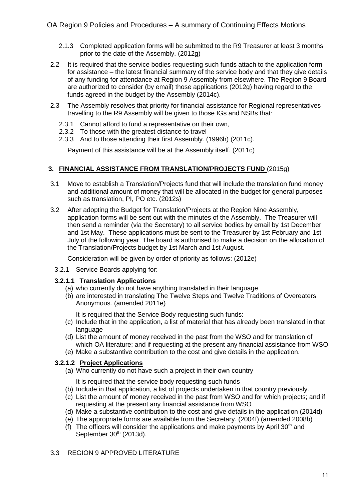- 2.1.3 Completed application forms will be submitted to the R9 Treasurer at least 3 months prior to the date of the Assembly. (2012g)
- 2.2 It is required that the service bodies requesting such funds attach to the application form for assistance – the latest financial summary of the service body and that they give details of any funding for attendance at Region 9 Assembly from elsewhere. The Region 9 Board are authorized to consider (by email) those applications (2012g) having regard to the funds agreed in the budget by the Assembly (2014c).
- 2.3 The Assembly resolves that priority for financial assistance for Regional representatives travelling to the R9 Assembly will be given to those IGs and NSBs that:
	- 2.3.1 Cannot afford to fund a representative on their own,
	- 2.3.2 To those with the greatest distance to travel
	- 2.3.3 And to those attending their first Assembly. (1996h) (2011c).

Payment of this assistance will be at the Assembly itself. (2011c)

## **3. FINANCIAL ASSISTANCE FROM TRANSLATION/PROJECTS FUND** (2015g)

- 3.1 Move to establish a Translation/Projects fund that will include the translation fund money and additional amount of money that will be allocated in the budget for general purposes such as translation, PI, PO etc. (2012s)
- 3.2 After adopting the Budget for Translation/Projects at the Region Nine Assembly, application forms will be sent out with the minutes of the Assembly. The Treasurer will then send a reminder (via the Secretary) to all service bodies by email by 1st December and 1st May. These applications must be sent to the Treasurer by 1st February and 1st July of the following year. The board is authorised to make a decision on the allocation of the Translation/Projects budget by 1st March and 1st August.

Consideration will be given by order of priority as follows: (2012e)

3.2.1 Service Boards applying for:

## **3.2.1.1 Translation Applications**

- (a) who currently do not have anything translated in their language
- (b) are interested in translating The Twelve Steps and Twelve Traditions of Overeaters Anonymous. (amended 2011e)

It is required that the Service Body requesting such funds:

- (c) Include that in the application, a list of material that has already been translated in that language
- (d) List the amount of money received in the past from the WSO and for translation of which OA literature; and if requesting at the present any financial assistance from WSO
- (e) Make a substantive contribution to the cost and give details in the application.

## **3.2.1.2 Project Applications**

(a) Who currently do not have such a project in their own country

It is required that the service body requesting such funds

- (b) Include in that application, a list of projects undertaken in that country previously.
- (c) List the amount of money received in the past from WSO and for which projects; and if requesting at the present any financial assistance from WSO
- (d) Make a substantive contribution to the cost and give details in the application (2014d)
- (e) The appropriate forms are available from the Secretary. (2004f) (amended 2008b)
- (f) The officers will consider the applications and make payments by April 30<sup>th</sup> and September 30<sup>th</sup> (2013d).

## 3.3 REGION 9 APPROVED LITERATURE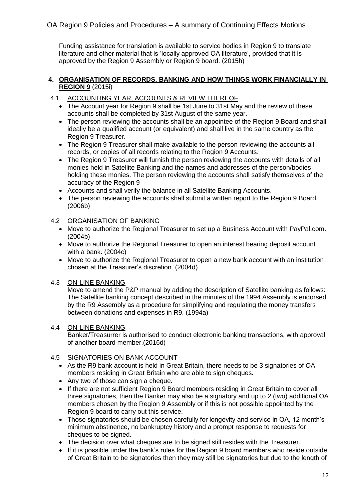Funding assistance for translation is available to service bodies in Region 9 to translate literature and other material that is 'locally approved OA literature', provided that it is approved by the Region 9 Assembly or Region 9 board. (2015h)

#### **4. ORGANISATION OF RECORDS, BANKING AND HOW THINGS WORK FINANCIALLY IN REGION 9** (2015i)

- 4.1 ACCOUNTING YEAR, ACCOUNTS & REVIEW THEREOF
	- The Account year for Region 9 shall be 1st June to 31st May and the review of these accounts shall be completed by 31st August of the same year.
	- The person reviewing the accounts shall be an appointee of the Region 9 Board and shall ideally be a qualified account (or equivalent) and shall live in the same country as the Region 9 Treasurer.
	- The Region 9 Treasurer shall make available to the person reviewing the accounts all records, or copies of all records relating to the Region 9 Accounts.
	- The Region 9 Treasurer will furnish the person reviewing the accounts with details of all monies held in Satellite Banking and the names and addresses of the person/bodies holding these monies. The person reviewing the accounts shall satisfy themselves of the accuracy of the Region 9
	- Accounts and shall verify the balance in all Satellite Banking Accounts.
	- The person reviewing the accounts shall submit a written report to the Region 9 Board. (2006b)

## 4.2 ORGANISATION OF BANKING

- Move to authorize the Regional Treasurer to set up a Business Account with PayPal.com. (2004b)
- Move to authorize the Regional Treasurer to open an interest bearing deposit account with a bank. (2004c)
- Move to authorize the Regional Treasurer to open a new bank account with an institution chosen at the Treasurer's discretion. (2004d)

#### 4.3 ON-LINE BANKING

Move to amend the P&P manual by adding the description of Satellite banking as follows: The Satellite banking concept described in the minutes of the 1994 Assembly is endorsed by the R9 Assembly as a procedure for simplifying and regulating the money transfers between donations and expenses in R9. (1994a)

#### 4.4 ON-LINE BANKING

Banker/Treasurrer is authorised to conduct electronic banking transactions, with approval of another board member.(2016d)

## 4.5 SIGNATORIES ON BANK ACCOUNT

- As the R9 bank account is held in Great Britain, there needs to be 3 signatories of OA members residing in Great Britain who are able to sign cheques.
- Any two of those can sign a cheque.
- If there are not sufficient Region 9 Board members residing in Great Britain to cover all three signatories, then the Banker may also be a signatory and up to 2 (two) additional OA members chosen by the Region 9 Assembly or if this is not possible appointed by the Region 9 board to carry out this service.
- Those signatories should be chosen carefully for longevity and service in OA, 12 month's minimum abstinence, no bankruptcy history and a prompt response to requests for cheques to be signed.
- The decision over what cheques are to be signed still resides with the Treasurer.
- If it is possible under the bank's rules for the Region 9 board members who reside outside of Great Britain to be signatories then they may still be signatories but due to the length of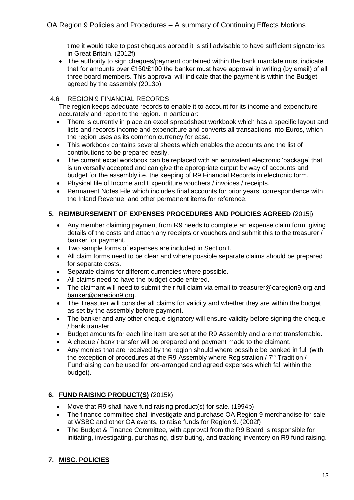time it would take to post cheques abroad it is still advisable to have sufficient signatories in Great Britain. (2012f)

• The authority to sign cheques/payment contained within the bank mandate must indicate that for amounts over €150/£100 the banker must have approval in writing (by email) of all three board members. This approval will indicate that the payment is within the Budget agreed by the assembly (2013o).

#### 4.6 REGION 9 FINANCIAL RECORDS

The region keeps adequate records to enable it to account for its income and expenditure accurately and report to the region. In particular:

- There is currently in place an excel spreadsheet workbook which has a specific layout and lists and records income and expenditure and converts all transactions into Euros, which the region uses as its common currency for ease.
- This workbook contains several sheets which enables the accounts and the list of contributions to be prepared easily.
- The current excel workbook can be replaced with an equivalent electronic 'package' that is universally accepted and can give the appropriate output by way of accounts and budget for the assembly i.e. the keeping of R9 Financial Records in electronic form.
- Physical file of Income and Expenditure vouchers / invoices / receipts.
- Permanent Notes File which includes final accounts for prior years, correspondence with the Inland Revenue, and other permanent items for reference.

## **5. REIMBURSEMENT OF EXPENSES PROCEDURES AND POLICIES AGREED** (2015j)

- Any member claiming payment from R9 needs to complete an expense claim form, giving details of the costs and attach any receipts or vouchers and submit this to the treasurer / banker for payment.
- Two sample forms of expenses are included in Section I.
- All claim forms need to be clear and where possible separate claims should be prepared for separate costs.
- Separate claims for different currencies where possible.
- All claims need to have the budget code entered.
- The claimant will need to submit their full claim via email to [treasurer@oaregion9.org](mailto:treasurer@oaregion9.org) and [banker@oaregion9.org.](mailto:banker@oaregion9.org)
- The Treasurer will consider all claims for validity and whether they are within the budget as set by the assembly before payment.
- The banker and any other cheque signatory will ensure validity before signing the cheque / bank transfer.
- Budget amounts for each line item are set at the R9 Assembly and are not transferrable.
- A cheque / bank transfer will be prepared and payment made to the claimant.
- Any monies that are received by the region should where possible be banked in full (with the exception of procedures at the R9 Assembly where Registration /  $7<sup>th</sup>$  Tradition / Fundraising can be used for pre-arranged and agreed expenses which fall within the budget).

## **6. FUND RAISING PRODUCT(S)** (2015k)

- Move that R9 shall have fund raising product(s) for sale. (1994b)
- The finance committee shall investigate and purchase OA Region 9 merchandise for sale at WSBC and other OA events, to raise funds for Region 9. (2002f)
- The Budget & Finance Committee, with approval from the R9 Board is responsible for initiating, investigating, purchasing, distributing, and tracking inventory on R9 fund raising.

## **7. MISC. POLICIES**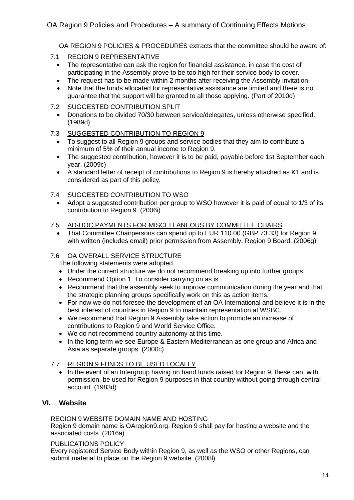OA REGION 9 POLICIES & PROCEDURES extracts that the committee should be aware of:

- 7.1 REGION 9 REPRESENTATIVE
	- The representative can ask the region for financial assistance, in case the cost of participating in the Assembly prove to be too high for their service body to cover.
	- The request has to be made within 2 months after receiving the Assembly invitation.
	- Note that the funds allocated for representative assistance are limited and there is no guarantee that the support will be granted to all those applying. (Part of 2010d)
- 7.2 SUGGESTED CONTRIBUTION SPLIT
	- Donations to be divided 70/30 between service/delegates, unless otherwise specified. (1989d)

#### 7.3 SUGGESTED CONTRIBUTION TO REGION 9

- To suggest to all Region 9 groups and service bodies that they aim to contribute a minimum of 5% of their annual income to Region 9.
- The suggested contribution, however it is to be paid, payable before 1st September each year. (2009c)
- A standard letter of receipt of contributions to Region 9 is hereby attached as K1 and is considered as part of this policy.

#### 7.4 SUGGESTED CONTRIBUTION TO WSO

 Adopt a suggested contribution per group to WSO however it is paid of equal to 1/3 of its contribution to Region 9. (2006i)

#### 7.5 AD-HOC PAYMENTS FOR MISCELLANEOUS BY COMMITTEE CHAIRS

 That Committee Chairpersons can spend up to EUR 110.00 (GBP 73.33) for Region 9 with written (includes email) prior permission from Assembly, Region 9 Board. (2006g)

## 7.6 OA OVERALL SERVICE STRUCTURE

The following statements were adopted.

- Under the current structure we do not recommend breaking up into further groups.
- Recommend Option 1. To consider carrying on as is.
- Recommend that the assembly seek to improve communication during the year and that the strategic planning groups specifically work on this as action items.
- For now we do not foresee the development of an OA International and believe it is in the best interest of countries in Region 9 to maintain representation at WSBC.
- We recommend that Region 9 Assembly take action to promote an increase of contributions to Region 9 and World Service Office.
- We do not recommend country autonomy at this time.
- In the long term we see Europe & Eastern Mediterranean as one group and Africa and Asia as separate groups. (2000c)

## 7.7 REGION 9 FUNDS TO BE USED LOCALLY

• In the event of an Intergroup having on hand funds raised for Region 9, these can, with permission, be used for Region 9 purposes in that country without going through central account. (1983d)

## **VI. Website**

#### REGION 9 WEBSITE DOMAIN NAME AND HOSTING

Region 9 domain name is OAregion9.org. Region 9 shall pay for hosting a website and the associated costs. (2016a)

#### PUBLICATIONS POLICY

Every registered Service Body within Region 9, as well as the WSO or other Regions, can submit material to place on the Region 9 website. (2008l)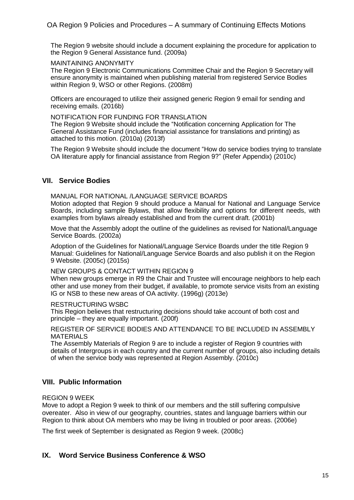The Region 9 website should include a document explaining the procedure for application to the Region 9 General Assistance fund. (2009a)

#### MAINTAINING ANONYMITY

The Region 9 Electronic Communications Committee Chair and the Region 9 Secretary will ensure anonymity is maintained when publishing material from registered Service Bodies within Region 9, WSO or other Regions. (2008m)

Officers are encouraged to utilize their assigned generic Region 9 email for sending and receiving emails. (2016b)

#### NOTIFICATION FOR FUNDING FOR TRANSLATION

The Region 9 Website should include the "Notification concerning Application for The General Assistance Fund (includes financial assistance for translations and printing) as attached to this motion. (2010a) (2013f)

The Region 9 Website should include the document "How do service bodies trying to translate OA literature apply for financial assistance from Region 9?" (Refer Appendix) (2010c)

#### **VII. Service Bodies**

MANUAL FOR NATIONAL /LANGUAGE SERVICE BOARDS

Motion adopted that Region 9 should produce a Manual for National and Language Service Boards, including sample Bylaws, that allow flexibility and options for different needs, with examples from bylaws already established and from the current draft. (2001b)

Move that the Assembly adopt the outline of the guidelines as revised for National/Language Service Boards. (2002a)

Adoption of the Guidelines for National/Language Service Boards under the title Region 9 Manual: Guidelines for National/Language Service Boards and also publish it on the Region 9 Website. (2005c) (2015s)

#### NEW GROUPS & CONTACT WITHIN REGION 9

When new groups emerge in R9 the Chair and Trustee will encourage neighbors to help each other and use money from their budget, if available, to promote service visits from an existing IG or NSB to these new areas of OA activity. (1996g) (2013e)

#### RESTRUCTURING WSBC

This Region believes that restructuring decisions should take account of both cost and principle – they are equally important. (200f)

#### REGISTER OF SERVICE BODIES AND ATTENDANCE TO BE INCLUDED IN ASSEMBLY MATERIALS

The Assembly Materials of Region 9 are to include a register of Region 9 countries with details of Intergroups in each country and the current number of groups, also including details of when the service body was represented at Region Assembly. (2010c)

## **VIII. Public Information**

#### REGION 9 WEEK

Move to adopt a Region 9 week to think of our members and the still suffering compulsive overeater. Also in view of our geography, countries, states and language barriers within our Region to think about OA members who may be living in troubled or poor areas. (2006e)

The first week of September is designated as Region 9 week. (2008c)

## **IX. Word Service Business Conference & WSO**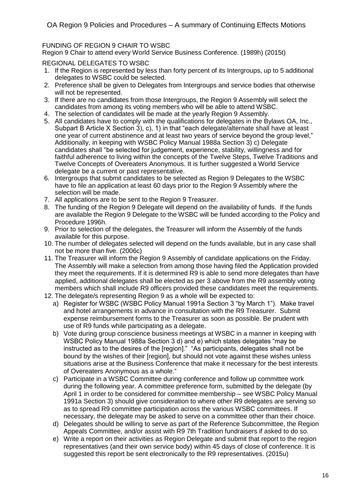#### FUNDING OF REGION 9 CHAIR TO WSBC

Region 9 Chair to attend every World Service Business Conference. (1989h) (2015t)

REGIONAL DELEGATES TO WSBC

- 1. If the Region is represented by less than forty percent of its Intergroups, up to 5 additional delegates to WSBC could be selected.
- 2. Preference shall be given to Delegates from Intergroups and service bodies that otherwise will not be represented.
- 3. If there are no candidates from those Intergroups, the Region 9 Assembly will select the candidates from among its voting members who will be able to attend WSBC.
- 4. The selection of candidates will be made at the yearly Region 9 Assembly.
- 5. All candidates have to comply with the qualifications for delegates in the Bylaws OA, Inc., Subpart B Article X Section 3), c), 1) in that "each delegate/alternate shall have at least one year of current abstinence and at least two years of service beyond the group level," Additionally, in keeping with WSBC Policy Manual 1988a Section 3) c) Delegate candidates shall "be selected for judgement, experience, stability, willingness and for faithful adherence to living within the concepts of the Twelve Steps, Twelve Traditions and Twelve Concepts of Overeaters Anonymous. It is further suggested a World Service delegate be a current or past representative.
- 6. Intergroups that submit candidates to be selected as Region 9 Delegates to the WSBC have to file an application at least 60 days prior to the Region 9 Assembly where the selection will be made.
- 7. All applications are to be sent to the Region 9 Treasurer.
- 8. The funding of the Region 9 Delegate will depend on the availability of funds. If the funds are available the Region 9 Delegate to the WSBC will be funded according to the Policy and Procedure 1996h.
- 9. Prior to selection of the delegates, the Treasurer will inform the Assembly of the funds available for this purpose.
- 10. The number of delegates selected will depend on the funds available, but in any case shall not be more than five. (2006c)
- 11. The Treasurer will inform the Region 9 Assembly of candidate applications on the Friday. The Assembly will make a selection from among those having filed the Application provided they meet the requirements. If it is determined R9 is able to send more delegates than have applied, additional delegates shall be elected as per 3 above from the R9 assembly voting members which shall include R9 officers provided these candidates meet the requirements.
- 12. The delegate/s representing Region 9 as a whole will be expected to:
	- a) Register for WSBC (WSBC Policy Manual 1991a Section 3 "by March 1"). Make travel and hotel arrangements in advance in consultation with the R9 Treasurer. Submit expense reimbursement forms to the Treasurer as soon as possible. Be prudent with use of R9 funds while participating as a delegate.
	- b) Vote during group conscience business meetings at WSBC in a manner in keeping with WSBC Policy Manual 1988a Section 3 d) and e) which states delegates "may be instructed as to the desires of the [region]." "As participants, delegates shall not be bound by the wishes of their [region], but should not vote against these wishes unless situations arise at the Business Conference that make it necessary for the best interests of Overeaters Anonymous as a whole."
	- c) Participate in a WSBC Committee during conference and follow up committee work during the following year. A committee preference form, submitted by the delegate (by April 1 in order to be considered for committee membership – see WSBC Policy Manual 1991a Section 3) should give consideration to where other R9 delegates are serving so as to spread R9 committee participation across the various WSBC committees. If necessary, the delegate may be asked to serve on a committee other than their choice.
	- d) Delegates should be willing to serve as part of the Reference Subcommittee, the Region Appeals Committee, and/or assist with R9 7th Tradition fundraisers if asked to do so.
	- e) Write a report on their activities as Region Delegate and submit that report to the region representatives (and their own service body) within 45 days of close of conference. It is suggested this report be sent electronically to the R9 representatives. (2015u)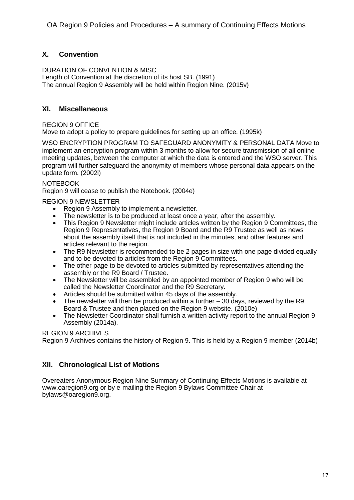## **X. Convention**

DURATION OF CONVENTION & MISC Length of Convention at the discretion of its host SB. (1991) The annual Region 9 Assembly will be held within Region Nine. (2015v)

## **XI. Miscellaneous**

REGION 9 OFFICE

Move to adopt a policy to prepare guidelines for setting up an office. (1995k)

WSO ENCRYPTION PROGRAM TO SAFEGUARD ANONYMITY & PERSONAL DATA Move to implement an encryption program within 3 months to allow for secure transmission of all online meeting updates, between the computer at which the data is entered and the WSO server. This program will further safeguard the anonymity of members whose personal data appears on the update form. (2002i)

#### NOTEBOOK

Region 9 will cease to publish the Notebook. (2004e)

REGION 9 NEWSLETTER

- Region 9 Assembly to implement a newsletter.
- The newsletter is to be produced at least once a year, after the assembly.<br>• This Region 9 Newsletter might include articles written by the Region 9 Co
- This Region 9 Newsletter might include articles written by the Region 9 Committees, the Region 9 Representatives, the Region 9 Board and the R9 Trustee as well as news about the assembly itself that is not included in the minutes, and other features and articles relevant to the region.
- The R9 Newsletter is recommended to be 2 pages in size with one page divided equally and to be devoted to articles from the Region 9 Committees.
- The other page to be devoted to articles submitted by representatives attending the assembly or the R9 Board / Trustee.
- The Newsletter will be assembled by an appointed member of Region 9 who will be called the Newsletter Coordinator and the R9 Secretary.
- Articles should be submitted within 45 days of the assembly.
- $\bullet$  The newsletter will then be produced within a further  $-30$  days, reviewed by the R9 Board & Trustee and then placed on the Region 9 website. (2010e)
- The Newsletter Coordinator shall furnish a written activity report to the annual Region 9 Assembly (2014a).

## REGION 9 ARCHIVES

Region 9 Archives contains the history of Region 9. This is held by a Region 9 member (2014b)

## **XII. Chronological List of Motions**

Overeaters Anonymous Region Nine Summary of Continuing Effects Motions is available at www.oaregion9.org or by e-mailing the Region 9 Bylaws Committee Chair at bylaws@oaregion9.org.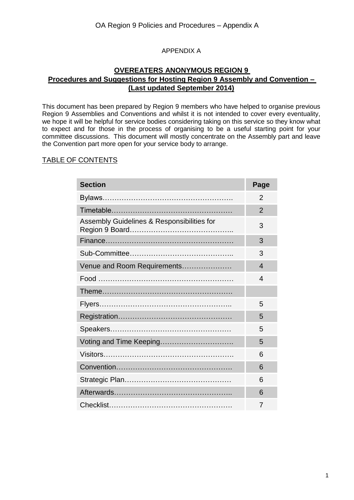## APPENDIX A

## **OVEREATERS ANONYMOUS REGION 9 Procedures and Suggestions for Hosting Region 9 Assembly and Convention – (Last updated September 2014)**

This document has been prepared by Region 9 members who have helped to organise previous Region 9 Assemblies and Conventions and whilst it is not intended to cover every eventuality, we hope it will be helpful for service bodies considering taking on this service so they know what to expect and for those in the process of organising to be a useful starting point for your committee discussions. This document will mostly concentrate on the Assembly part and leave the Convention part more open for your service body to arrange.

## TABLE OF CONTENTS

| <b>Section</b>                             | Page           |
|--------------------------------------------|----------------|
|                                            | 2              |
|                                            | $\overline{2}$ |
| Assembly Guidelines & Responsibilities for | 3              |
|                                            | 3              |
|                                            | 3              |
| Venue and Room Requirements                | $\overline{4}$ |
|                                            | 4              |
|                                            |                |
|                                            | 5              |
|                                            | 5              |
|                                            | 5              |
|                                            | 5              |
|                                            | 6              |
|                                            | 6              |
|                                            | 6              |
|                                            | 6              |
|                                            | 7              |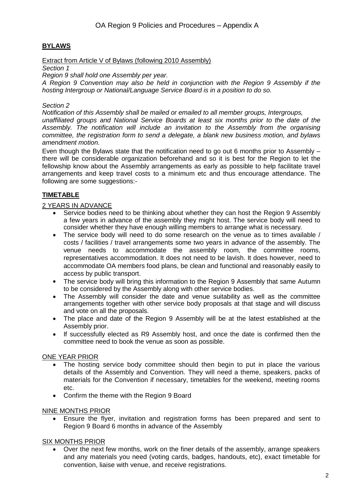## **BYLAWS**

Extract from Article V of Bylaws (following 2010 Assembly)

*Section 1*

*Region 9 shall hold one Assembly per year.*

*A Region 9 Convention may also be held in conjunction with the Region 9 Assembly if the hosting Intergroup or National/Language Service Board is in a position to do so.*

#### *Section 2*

*Notification of this Assembly shall be mailed or emailed to all member groups, Intergroups,*

*unaffiliated groups and National Service Boards at least six months prior to the date of the Assembly. The notification will include an invitation to the Assembly from the organising committee, the registration form to send a delegate, a blank new business motion, and bylaws amendment motion.*

Even though the Bylaws state that the notification need to go out 6 months prior to Assembly – there will be considerable organization beforehand and so it is best for the Region to let the fellowship know about the Assembly arrangements as early as possible to help facilitate travel arrangements and keep travel costs to a minimum etc and thus encourage attendance. The following are some suggestions:-

## **TIMETABLE**

## 2 YEARS IN ADVANCE

- Service bodies need to be thinking about whether they can host the Region 9 Assembly a few years in advance of the assembly they might host. The service body will need to consider whether they have enough willing members to arrange what is necessary.
- The service body will need to do some research on the venue as to times available / costs / facilities / travel arrangements some two years in advance of the assembly. The venue needs to accommodate the assembly room, the committee rooms, representatives accommodation. It does not need to be lavish. It does however, need to accommodate OA members food plans, be clean and functional and reasonably easily to access by public transport.
- The service body will bring this information to the Region 9 Assembly that same Autumn to be considered by the Assembly along with other service bodies.
- The Assembly will consider the date and venue suitability as well as the committee arrangements together with other service body proposals at that stage and will discuss and vote on all the proposals.
- The place and date of the Region 9 Assembly will be at the latest established at the Assembly prior.
- If successfully elected as R9 Assembly host, and once the date is confirmed then the committee need to book the venue as soon as possible.

## ONE YEAR PRIOR

- The hosting service body committee should then begin to put in place the various details of the Assembly and Convention. They will need a theme, speakers, packs of materials for the Convention if necessary, timetables for the weekend, meeting rooms etc.
- Confirm the theme with the Region 9 Board

## NINE MONTHS PRIOR

 Ensure the flyer, invitation and registration forms has been prepared and sent to Region 9 Board 6 months in advance of the Assembly

## SIX MONTHS PRIOR

 Over the next few months, work on the finer details of the assembly, arrange speakers and any materials you need (voting cards, badges, handouts, etc), exact timetable for convention, liaise with venue, and receive registrations.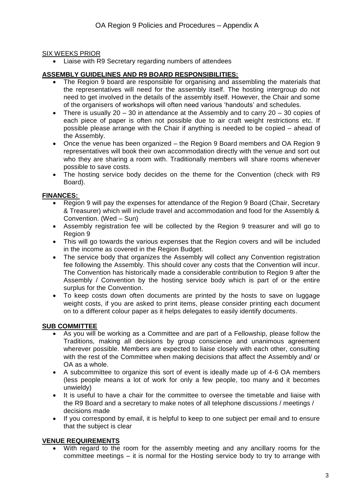#### SIX WEEKS PRIOR

Liaise with R9 Secretary regarding numbers of attendees

#### **ASSEMBLY GUIDELINES AND R9 BOARD RESPONSIBILITIES:**

- The Region 9 board are responsible for organising and assembling the materials that the representatives will need for the assembly itself. The hosting intergroup do not need to get involved in the details of the assembly itself. However, the Chair and some of the organisers of workshops will often need various 'handouts' and schedules.
- There is usually 20 30 in attendance at the Assembly and to carry 20 30 copies of each piece of paper is often not possible due to air craft weight restrictions etc. If possible please arrange with the Chair if anything is needed to be copied – ahead of the Assembly.
- Once the venue has been organized the Region 9 Board members and OA Region 9 representatives will book their own accommodation directly with the venue and sort out who they are sharing a room with. Traditionally members will share rooms whenever possible to save costs.
- The hosting service body decides on the theme for the Convention (check with R9 Board).

#### **FINANCES:**

- Region 9 will pay the expenses for attendance of the Region 9 Board (Chair, Secretary & Treasurer) which will include travel and accommodation and food for the Assembly & Convention. (Wed – Sun)
- Assembly registration fee will be collected by the Region 9 treasurer and will go to Region 9
- This will go towards the various expenses that the Region covers and will be included in the income as covered in the Region Budget.
- The service body that organizes the Assembly will collect any Convention registration fee following the Assembly. This should cover any costs that the Convention will incur. The Convention has historically made a considerable contribution to Region 9 after the Assembly / Convention by the hosting service body which is part of or the entire surplus for the Convention.
- To keep costs down often documents are printed by the hosts to save on luggage weight costs, if you are asked to print items, please consider printing each document on to a different colour paper as it helps delegates to easily identify documents.

## **SUB COMMITTEE**

- As you will be working as a Committee and are part of a Fellowship, please follow the Traditions, making all decisions by group conscience and unanimous agreement wherever possible. Members are expected to liaise closely with each other, consulting with the rest of the Committee when making decisions that affect the Assembly and/ or OA as a whole.
- A subcommittee to organize this sort of event is ideally made up of 4-6 OA members (less people means a lot of work for only a few people, too many and it becomes unwieldy)
- It is useful to have a chair for the committee to oversee the timetable and liaise with the R9 Board and a secretary to make notes of all telephone discussions / meetings / decisions made
- If you correspond by email, it is helpful to keep to one subject per email and to ensure that the subject is clear

## **VENUE REQUIREMENTS**

 With regard to the room for the assembly meeting and any ancillary rooms for the committee meetings – it is normal for the Hosting service body to try to arrange with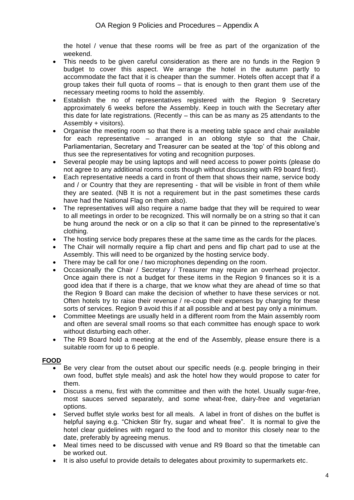the hotel / venue that these rooms will be free as part of the organization of the weekend.

- This needs to be given careful consideration as there are no funds in the Region 9 budget to cover this aspect. We arrange the hotel in the autumn partly to accommodate the fact that it is cheaper than the summer. Hotels often accept that if a group takes their full quota of rooms – that is enough to then grant them use of the necessary meeting rooms to hold the assembly.
- Establish the no of representatives registered with the Region 9 Secretary approximately 6 weeks before the Assembly. Keep in touch with the Secretary after this date for late registrations. (Recently – this can be as many as 25 attendants to the Assembly + visitors).
- Organise the meeting room so that there is a meeting table space and chair available for each representative – arranged in an oblong style so that the Chair, Parliamentarian, Secretary and Treasurer can be seated at the 'top' of this oblong and thus see the representatives for voting and recognition purposes.
- Several people may be using laptops and will need access to power points (please do not agree to any additional rooms costs though without discussing with R9 board first).
- Each representative needs a card in front of them that shows their name, service body and / or Country that they are representing - that will be visible in front of them while they are seated. (NB It is not a requirement but in the past sometimes these cards have had the National Flag on them also).
- The representatives will also require a name badge that they will be required to wear to all meetings in order to be recognized. This will normally be on a string so that it can be hung around the neck or on a clip so that it can be pinned to the representative's clothing.
- The hosting service body prepares these at the same time as the cards for the places.
- The Chair will normally require a flip chart and pens and flip chart pad to use at the Assembly. This will need to be organized by the hosting service body.
- There may be call for one / two microphones depending on the room.
- Occasionally the Chair / Secretary / Treasurer may require an overhead projector. Once again there is not a budget for these items in the Region 9 finances so it is a good idea that if there is a charge, that we know what they are ahead of time so that the Region 9 Board can make the decision of whether to have these services or not. Often hotels try to raise their revenue / re-coup their expenses by charging for these sorts of services. Region 9 avoid this if at all possible and at best pay only a minimum.
- Committee Meetings are usually held in a different room from the Main assembly room and often are several small rooms so that each committee has enough space to work without disturbing each other.
- The R9 Board hold a meeting at the end of the Assembly, please ensure there is a suitable room for up to 6 people.

## **FOOD**

- Be very clear from the outset about our specific needs (e.g. people bringing in their own food, buffet style meals) and ask the hotel how they would propose to cater for them.
- Discuss a menu, first with the committee and then with the hotel. Usually sugar-free, most sauces served separately, and some wheat-free, dairy-free and vegetarian options.
- Served buffet style works best for all meals. A label in front of dishes on the buffet is helpful saying e.g. "Chicken Stir fry, sugar and wheat free". It is normal to give the hotel clear guidelines with regard to the food and to monitor this closely near to the date, preferably by agreeing menus.
- Meal times need to be discussed with venue and R9 Board so that the timetable can be worked out.
- It is also useful to provide details to delegates about proximity to supermarkets etc.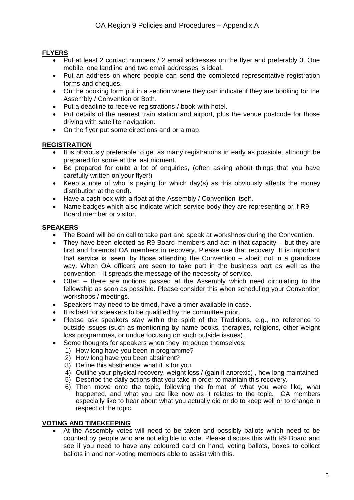## **FLYERS**

- Put at least 2 contact numbers / 2 email addresses on the flyer and preferably 3. One mobile, one landline and two email addresses is ideal.
- Put an address on where people can send the completed representative registration forms and cheques.
- On the booking form put in a section where they can indicate if they are booking for the Assembly / Convention or Both.
- Put a deadline to receive registrations / book with hotel.
- Put details of the nearest train station and airport, plus the venue postcode for those driving with satellite navigation.
- On the flyer put some directions and or a map.

## **REGISTRATION**

- It is obviously preferable to get as many registrations in early as possible, although be prepared for some at the last moment.
- Be prepared for quite a lot of enquiries, (often asking about things that you have carefully written on your flyer!)
- Keep a note of who is paying for which day(s) as this obviously affects the money distribution at the end).
- Have a cash box with a float at the Assembly / Convention itself.
- Name badges which also indicate which service body they are representing or if R9 Board member or visitor.

## **SPEAKERS**

- The Board will be on call to take part and speak at workshops during the Convention.
- They have been elected as R9 Board members and act in that capacity but they are first and foremost OA members in recovery. Please use that recovery. It is important that service is 'seen' by those attending the Convention – albeit not in a grandiose way. When OA officers are seen to take part in the business part as well as the convention – it spreads the message of the necessity of service.
- Often there are motions passed at the Assembly which need circulating to the fellowship as soon as possible. Please consider this when scheduling your Convention workshops / meetings.
- Speakers may need to be timed, have a timer available in case.
- It is best for speakers to be qualified by the committee prior.
- Please ask speakers stay within the spirit of the Traditions, e.g., no reference to outside issues (such as mentioning by name books, therapies, religions, other weight loss programmes, or undue focusing on such outside issues).
- Some thoughts for speakers when they introduce themselves:
	- 1) How long have you been in programme?
	- 2) How long have you been abstinent?
	- 3) Define this abstinence, what it is for you.
	- 4) Outline your physical recovery, weight loss / (gain if anorexic) , how long maintained
	- 5) Describe the daily actions that you take in order to maintain this recovery.
	- 6) Then move onto the topic, following the format of what you were like, what happened, and what you are like now as it relates to the topic. OA members especially like to hear about what you actually did or do to keep well or to change in respect of the topic.

## **VOTING AND TIMEKEEPING**

 At the Assembly votes will need to be taken and possibly ballots which need to be counted by people who are not eligible to vote. Please discuss this with R9 Board and see if you need to have any coloured card on hand, voting ballots, boxes to collect ballots in and non-voting members able to assist with this.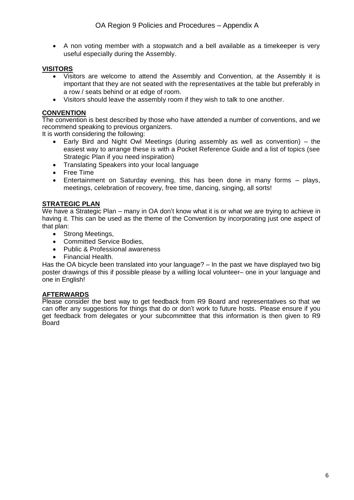A non voting member with a stopwatch and a bell available as a timekeeper is very useful especially during the Assembly.

## **VISITORS**

- Visitors are welcome to attend the Assembly and Convention, at the Assembly it is important that they are not seated with the representatives at the table but preferably in a row / seats behind or at edge of room.
- Visitors should leave the assembly room if they wish to talk to one another.

#### **CONVENTION**

The convention is best described by those who have attended a number of conventions, and we recommend speaking to previous organizers.

It is worth considering the following:

- Early Bird and Night Owl Meetings (during assembly as well as convention) the easiest way to arrange these is with a Pocket Reference Guide and a list of topics (see Strategic Plan if you need inspiration)
- Translating Speakers into your local language
- Free Time
- Entertainment on Saturday evening, this has been done in many forms plays, meetings, celebration of recovery, free time, dancing, singing, all sorts!

#### **STRATEGIC PLAN**

We have a Strategic Plan – many in OA don't know what it is or what we are trying to achieve in having it. This can be used as the theme of the Convention by incorporating just one aspect of that plan:

- Strong Meetings,
- Committed Service Bodies,
- Public & Professional awareness
- Financial Health.

Has the OA bicycle been translated into your language? – In the past we have displayed two big poster drawings of this if possible please by a willing local volunteer– one in your language and one in English!

#### **AFTERWARDS**

Please consider the best way to get feedback from R9 Board and representatives so that we can offer any suggestions for things that do or don't work to future hosts. Please ensure if you get feedback from delegates or your subcommittee that this information is then given to R9 **Board**